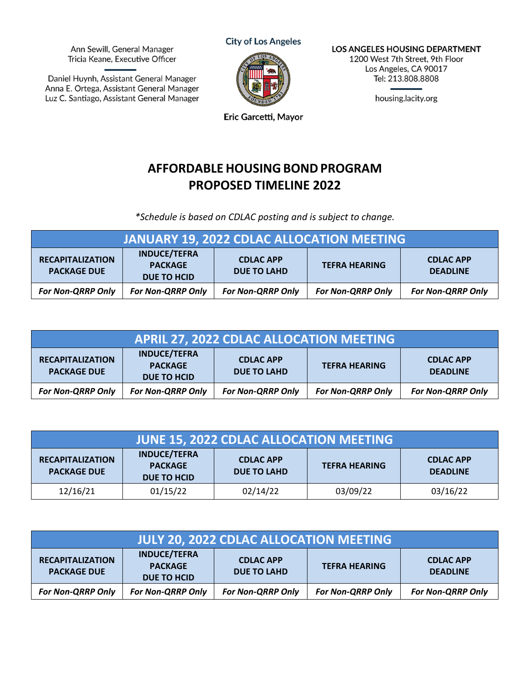Ann Sewill, General Manager Tricia Keane, Executive Officer

Daniel Huynh, Assistant General Manager Anna E. Ortega, Assistant General Manager Luz C. Santiago, Assistant General Manager **City of Los Angeles** 



LOS ANGELES HOUSING DEPARTMENT 1200 West 7th Street, 9th Floor Los Angeles, CA 90017 Tel: 213.808.8808

housing.lacity.org

Eric Garcetti, Mayor

## **AFFORDABLE HOUSINGBONDPROGRAM PROPOSED TIMELINE 2022**

 *\*Schedule is based on CDLAC posting and is subject to change.*

| <b>JANUARY 19, 2022 CDLAC ALLOCATION MEETING</b> |                                                             |                                        |                          |                                     |
|--------------------------------------------------|-------------------------------------------------------------|----------------------------------------|--------------------------|-------------------------------------|
| <b>RECAPITALIZATION</b><br><b>PACKAGE DUE</b>    | <b>INDUCE/TEFRA</b><br><b>PACKAGE</b><br><b>DUE TO HCID</b> | <b>CDLAC APP</b><br><b>DUE TO LAHD</b> | <b>TEFRA HEARING</b>     | <b>CDLAC APP</b><br><b>DEADLINE</b> |
| <b>For Non-QRRP Only</b>                         | <b>For Non-QRRP Only</b>                                    | <b>For Non-QRRP Only</b>               | <b>For Non-QRRP Only</b> | <b>For Non-QRRP Only</b>            |

| <b>APRIL 27, 2022 CDLAC ALLOCATION MEETING</b> |                                                             |                                        |                          |                                     |
|------------------------------------------------|-------------------------------------------------------------|----------------------------------------|--------------------------|-------------------------------------|
| <b>RECAPITALIZATION</b><br><b>PACKAGE DUE</b>  | <b>INDUCE/TEFRA</b><br><b>PACKAGE</b><br><b>DUE TO HCID</b> | <b>CDLAC APP</b><br><b>DUE TO LAHD</b> | <b>TEFRA HEARING</b>     | <b>CDLAC APP</b><br><b>DEADLINE</b> |
| <b>For Non-QRRP Only</b>                       | <b>For Non-QRRP Only</b>                                    | <b>For Non-QRRP Only</b>               | <b>For Non-QRRP Only</b> | <b>For Non-QRRP Only</b>            |

| JUNE 15, 2022 CDLAC ALLOCATION MEETING        |                                                      |                                 |                      |                                     |
|-----------------------------------------------|------------------------------------------------------|---------------------------------|----------------------|-------------------------------------|
| <b>RECAPITALIZATION</b><br><b>PACKAGE DUE</b> | <b>INDUCE/TEFRA</b><br><b>PACKAGE</b><br>DUE TO HCID | <b>CDLAC APP</b><br>DUE TO LAHD | <b>TEFRA HEARING</b> | <b>CDLAC APP</b><br><b>DEADLINE</b> |
| 12/16/21                                      | 01/15/22                                             | 02/14/22                        | 03/09/22             | 03/16/22                            |

| <b>JULY 20, 2022 CDLAC ALLOCATION MEETING</b> |                                                             |                                        |                          |                                     |
|-----------------------------------------------|-------------------------------------------------------------|----------------------------------------|--------------------------|-------------------------------------|
| <b>RECAPITALIZATION</b><br><b>PACKAGE DUE</b> | <b>INDUCE/TEFRA</b><br><b>PACKAGE</b><br><b>DUE TO HCID</b> | <b>CDLAC APP</b><br><b>DUE TO LAHD</b> | <b>TEFRA HEARING</b>     | <b>CDLAC APP</b><br><b>DEADLINE</b> |
| <b>For Non-QRRP Only</b>                      | <b>For Non-QRRP Only</b>                                    | <b>For Non-QRRP Only</b>               | <b>For Non-QRRP Only</b> | <b>For Non-QRRP Only</b>            |